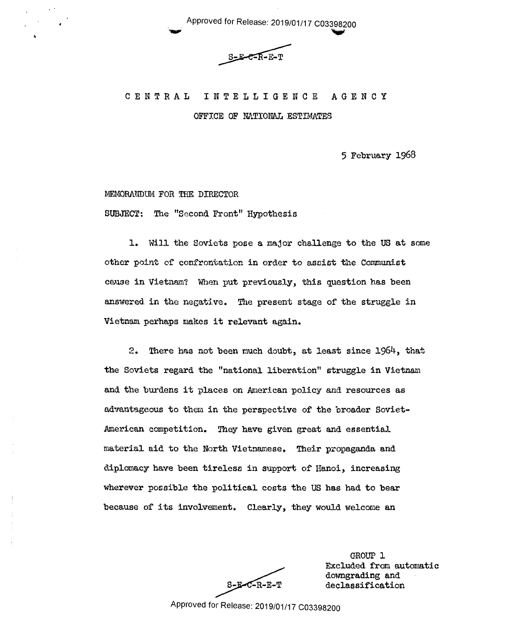Approved for Release: 2019/01/17 C03398200 Approved for Release: 2019/01/17 C03398200

d for Release: 2019/01/17 C03398200<br>S-E-C-R-E-T  $S-E-C-R-E-T$ 

# CENTRAL INTELLIGENCE AGENCY CENTRAL INTELLIGENCE AGENCY

OFFICE OF NATIONAL ESTIMATES

5 February 1968 5 February 1968

### MEMORMIDUM FOR THE DIRECTOR MEMORANDUM FOR THE DIRECTOR

SUBJECT: The "Second Front" Hypothesis SUBJECT: The "Second.Front" Hypothesis

1. Will the Soviets pose a major challenge to the US at some other point of confrontation in order to assist the Communist cause in Vietnam? When put previously, this question has been answered in the negative. The present stage of the struggle in Vietnam. perhaps makes it relevant again. Vietnam.perheps makes it relevant again.

2. There has not been much doubt, at least since 1964, that the Soviets regard the "national liberation" struggle in Vietnam and the burdens it places on American policy and resources as advantageous to them in the perspective of the broader Soviet-American competition. They have given great and essential material aid to the North Vietnamese. Their propaganda and diplomacy have been tireless in support of Hanoi, increasing diplomacy'heve'been tireless in supsort of'Hsnoi, increasing wherever possible the political costs the US has had to bear wherever possible the political costs the US has had to bear because of its involvement. Clearly, they would welcome an

GROUP 1 GROUP 1 Excluded from automatic downgrading and downgrading and S-E-C-R-E-T declassification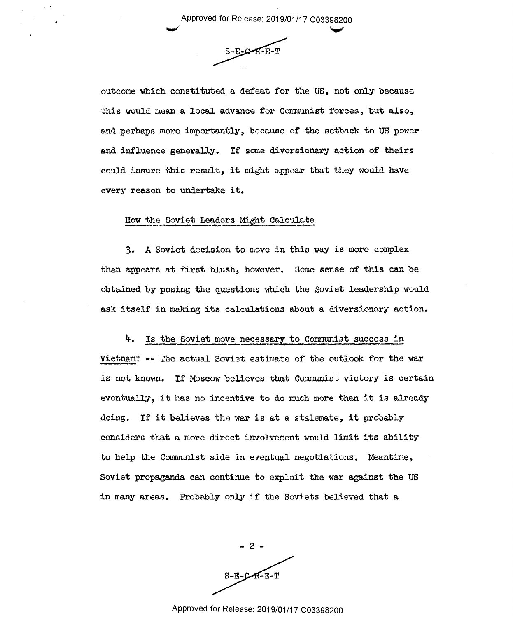Approved for Release: 2019/01/17 C03398200 Approved for Release: 2019/01/17 003398200

<u>v ve sta</u>

 $S-E-C-F-E-T$ 

han an an Aire an an Aire an an Aire an an Aire an Aire an Aire an Aire an Aire an Aire an Aire an Aire an Aire an Aire an Aire an Aire an Aire an Aire an Aire an Aire an Aire an Aire an Aire an Aire an Aire an Aire an Air

outcome which constituted a defeat for the US, not only because outcome which constituted <sup>a</sup> defeat for the US, not only because this would mean a local advance for Communist forces, but also, and perhaps more importantly, because of the setback to US power and perhaps more importantly, because of the setback to US power and influence generally. If some diversionary action of theirs and influence generally. If some diversionary action of theirs could insure this result, it might appear that they would have every reason to undertake it. every reason to undertake it.

### How the Soviet Leaders Might Calculate

3. A Soviet decision to move in this way is more complex 3. A.Soviet decision to move in this way is more complex than appears at first blush, however. Some sense of this can be obtained by posing the questions which the Soviet leadership would obtained'by posing the questions which the Soviet leadership would ask itself in making its calculations about a diversionary action. ask itself in making its calculations about <sup>a</sup> diversionary action.

# 4. Is the Soviet move necessary to Communist success in

Vietnam? -- The actual Soviet estimate of the outlook for the war is not known. If Moscow believes that Communist victory is certain eventually, it has no incentive to do much more than it is already doing. If it believes the war is at a stalemate, it probably considers that a more direct involvement would limit its ability considers that <sup>a</sup> more direct involvement would limit its ability to help the Communist side in eventual negotiations. Meantime, Soviet propaganda can continue to exploit the war against the US Soviet propaganda can continue to exploit the war against the US in many areas. Probably only if the Soviets believed that a

- 2 -  $S-E-C-R-E-T$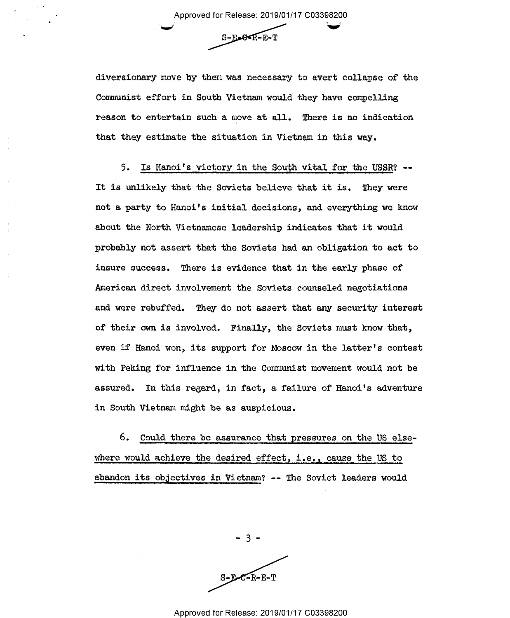Approved for Release: 2019/01/17 C03398200 Approved for Release: 2019/01/17 003398200 Approved for Release: 2019/01/17 C03398200  $S-E-**E**-**E**-T$ 

diversionary move by them was necessary to avert collapse of the Communist effort in South Vietnam would they have compelling Communist effort in South Vietnam would they have compelling reason to entertain such a move at all. There is no indication that they estimate the situation in Vietnam in this way.

5. Is Hanoi's victory in the South vital for the USSR? -- 5. Is Hanoi's victory in the South vital for the USSR? -- It is unlikely that the Soviets believe that it is. They were not a party to Hanoi's initial decisions, and everything we know not <sup>a</sup> party to Hanoi's initial decisions, and everything we know about the North Vietnamese leadership indicates that it would about the north Vietnamese leadership indicates that it would probably not assert that the Soviets had an obligation to act to probably not assert that the Soviets had an obligation to act to insure success. There is evidence that in the early phase of American direct involvement the Soviets counseled negotiations American direct involvement the Soviets counseled negotiations and were rebuffed. They do not assert that any security interest and were rebuffed. They do not assert that any security interest of their own is involved. Finally, the Soviets must know that, even if Hanoi won, its support for Moscow in the latter's contest with Peking for influence in the Communist movement would not be with Peking for influence in the Communist movement would not be assured. In this regard, in fact, a failure of Hanoi's adventure in South Vietnam might be as auspicious.

6. Could there be assurance that pressures on the US else-6. Could there be assurance that pressures on the US else where would achieve the desired effect, i.e., cause the US to abandon its objectives in Vietnam? -- The Soviet leaders would abandon its objectives in Vietnam? -- The Soviet leaders would

- 3 -

 $S-E-C-R-E-T$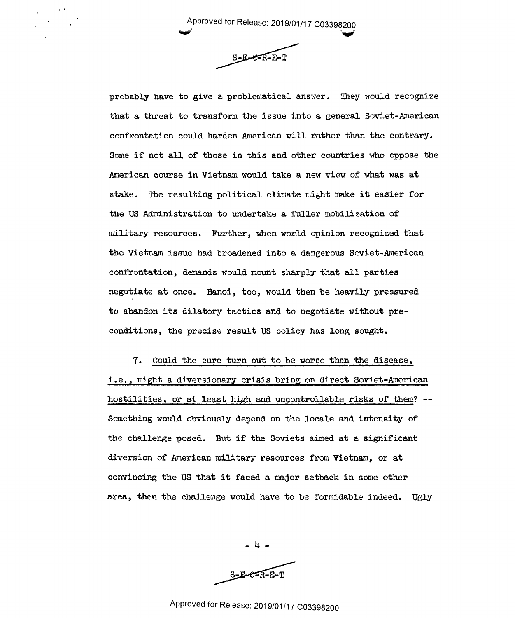\_ Approved for Release: 2019/01/17 C03398200 \_\_ Approved for Release: 2019/01/17 <sup>003398200</sup>

 $\blacktriangledown$ 

Approved for Release: 2019/01/17 C03398200  $S-E-<sub>R-E-T</sub>$ 

are the contract of the contract of the contract of the contract of the contract of the contract of the contract of the contract of the contract of the contract of the contract of the contract of the contract of the contra

probably have to give a problematical answer. They would recognize probably have to give <sup>a</sup> problematical answer. They would recognize that a threat to transform the issue into a general Soviet-American confrontation could harden American will rather than the contrary. confrontation could harden American will rather than the contrary. Some if not all of those in this and other countries who oppose the Some if not all of those in this and other countries who oppose the American course in Vietnam would take a new view of what was at American course in Vietnam would take a new view'of what was at stake. The resulting political climate might make it easier for stake. The resulting political climate might make it easier for the US Administration to undertake a fuller mobilization of the US Administration to undertake a fuller nebilisation of military resources. Further, when world opinion recognized that military resources. Further, when world Opinion recognized that the Vietnam issue had broadened into a dangerous Soviet-American confrontation, demands would mount sharply that all parties confrontation, demands would mount sharply that all parties negotiate at once. Hanoi, too, would then be heavily pressured negotiate at once. Hanoi, too, would then be heavily pressured to abandon its dilatory tactics and to negotiate without preconditions, the precise result US policy has long sought. conditions, the precise result US policy has long sought.

7. Could the cure turn out to be worse than the disease, i.e., might a diversionary crisis bring on direct Soviet-American hostilities, or at least high and uncontrollable risks of them? hostilities, or at least high and uncontrollable risks of them? --Something would obviously depend on the locale and intensity of Something would obviously depend on the locale and intensity of the challenge posed. But if the Soviets aimed at a significant diversion of American military resources from Vietnam, or at convincing the US that it faced a major setback in some other convincing the US thatit faced a.ma3or setback in some other area, then the challenge would have to be formidable indeed. Ugly area, then the challenge would have to be formidable indeed. Ugly

> - 4 -  $S-E-C-R-E-T$

-14....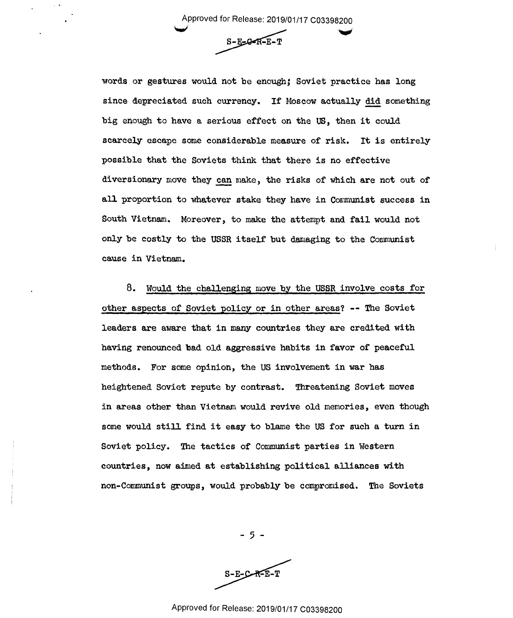Approved for Release: 2019/01/17 C03398200 Approved for Release: 2019/01/17 C03398200<br>S-E-G-K-E-T \_ Approved for Release: 2019/01/17 003398200

 $\checkmark$  in the set of  $\checkmark$  $S-E-B-R-E-T$ 

words or gestures would not be enough; Soviet practice has long since depreciated such currency. If Moscow actually did something big enough to have a serious effect on the US, then it could big enough to have <sup>a</sup> serious effect on the US, then it could scarcely escape some considerable measure of risk. It is entirely scarcely escape some considerable measure of risk. It is entirely possible that the Soviets think that there is no effective possible that the Soviets think that there is no effective diversionary move they can make, the risks of which are not out of all proportion to whatever stake they have in Communist success in South Vietnam. Moreover, to make the attempt and fail would not South Vietnam. moreover, to make the attempt and fail would not only be costly to the USSR itself but damaging to the Communist cause in Vietnam. cause in'Vietnam.

8. Would the challenging move by the USSR involve costs for other aspects of Soviet policy or in other areas? -- The Soviet leaders are aware that in many countries they are credited with leaders are aware that in many countries they are credited with having renounced bad old aggressive habits in favor of peaceful having renounced'bad old aggressive habits in favor of peaceful methods. For some opinion, the US involvement in war has methods. For some Opinion, the US involvement in war has heightened Soviet repute by contrast. Threatening Soviet moves heightened Soviet repute'by contrast. Threatening Soviet moves in areas other than Vietnam would revive old memories, even though some would still find it easy to blame the US for such a turn in some would still find it easy to blame the US for such <sup>a</sup> turn in Soviet policy. The tactics of Communist parties in Western Soviet policy. The tactics of Communist parties in Western countries, now aimed at establishing political alliances with countries, now aimed at establishing political alliances with non-Communist groups, would probably be compromised. The Soviets non—Communist groups, would prObably'be compromised. The Soviets

- 5 -

 $S-E-C-R-E-T$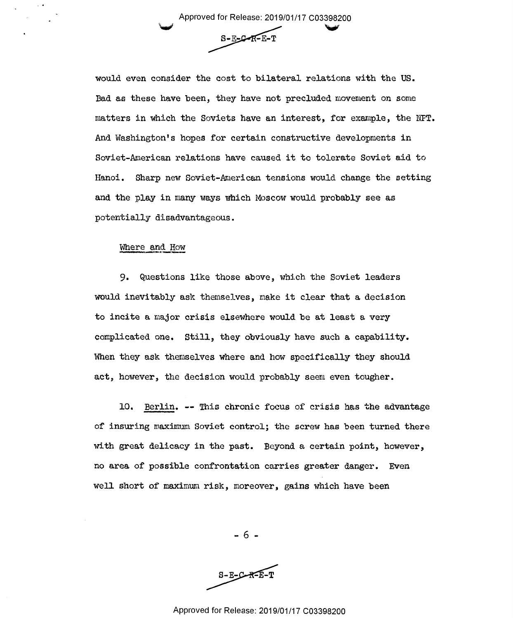Approved for Release: 2019/01/17 C03398200 ed for Release: 2019/01/17 C03398200<br>S-E-C-R-E-T Approved for Release: 2019/01/17 003398200

 $S-E-C-R-E-T$ 

would even consider the cost to bilateral relations with the US. would even consider the cost to bilateral relations with the US. Bad as these have been, they have not precluded movement on some Bad as these have been, they have not precluded movement on some matters in which the Soviets have an interest, for example, the NPT. matters in which the Soviets have an interest, for example, the NPT. And Washington's hopes for certain constructive developments in And'Washington's hopes for certain constructive develoPments in Soviet-American relations have caused it to tolerate Soviet aid to Soviet-American relations have caused it to tolerate Soviet aid to Hanoi. Sharp new Soviet-American tensions would change the setting and the play in many ways which Moscow would probably see as and the play in many ways which Moscow would probably see as potentially disadvantageous. potentially disadvantageous.

## Where and How Where and How

9. Questions like those above, which the Soviet leaders 9. Questions like those above, which the Soviet leaders would inevitably ask themselves, make it clear that a decision would inevitably ask themselves, make it clear that <sup>a</sup> decision to incite a major crisis elsewhere would be at least a very to incite <sup>a</sup> major crisis elsewhere would be at least <sup>a</sup> very complicated one. Still, they obviously have such a capability. complicated one. Still, they obviously have such <sup>a</sup> capability. When they ask themselves where and how specifically they should When they ask themselves where and how specifically they should act, however, the decision would probably seem even tougher. act, however, the decision would probably seem even tougher.

10. Berlin. -- This chronic focus of crisis has the advantage of insuring maximum Soviet control; the screw has been turned there with great delicacy in the past. Beyond a certain point, however, with great delicacy in the past. Beyond <sup>a</sup> certain point, however, no area of possible confrontation carries greater danger. Even well short of maximum risk, moreover, gains which have been well short of maximum risk, moreover, gains which have been

 $S - E - C - R - E$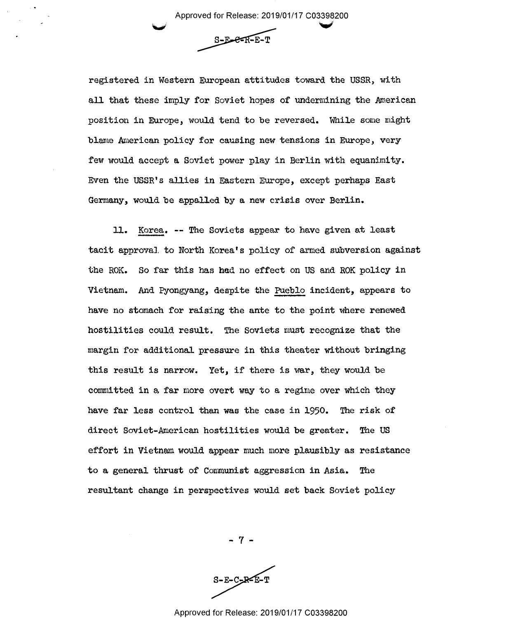Approved for Release: 2019/01/17 C03398200 Approved for Release: 2019/01/17 CO339§200 ¥

 $S-E-C-R-E-T$ 

registered in Western European attitudes toward the USSR, with all that these imply for Soviet hopes of undermining the American position in Europe, would tend to be reversed. While some might blame American policy for causing new tensions in Europe, very few would accept a Soviet power play in Berlin with equanimity. Even the USSR's allies in Eastern Europe, except perhaps East Germany, would be appalled by a new crisis over Berlin. Germany, would'be appalled by <sup>a</sup> new crisis over Berlin.

11. Korea. -- The Soviets appear to have given at least tacit approval to North Korea's policy of armed subversion against tacit approval to North Korea's policy of armed sdbversion against the ROK. So far this has had no effect on US and ROK policy in Vietnam. And Pyongyang, despite the Pueblo incident, appears to have no stomach for raising the ante to the point where renewed have no stomach for raising the ante to the point where renewed hostilities could result. The Soviets must recognize that the hostilities could result. The Soviets must recognize that the margin for additional pressure in this theater without bringing margin for additional pressure in this theater without bringing this result is narrow. Yet, if there is war, they would be committed in a, far more overt way to a regime over which they committed in <sup>a</sup> far more overt way to <sup>a</sup> regime over which they have far less control than was the case in 1950. The risk of have far less control than was the case in 1950. The risk of direct Soviet-American hostilities would be greater. The US direct Soviet-American hostilities would be greater. The US effort in Vietnam would appear much more plausibly as resistance effort in Vietnam would appear much more plausibly as resistance to a general thrust of Communist aggression **in** Asia. The to <sup>a</sup> general thrust of Communist aggression in.Asia. The resultant change in perspectives would set back Soviet policy resultant change in perspectives would set back Soviet policy

- 7 -

 $S-E-C-E-F$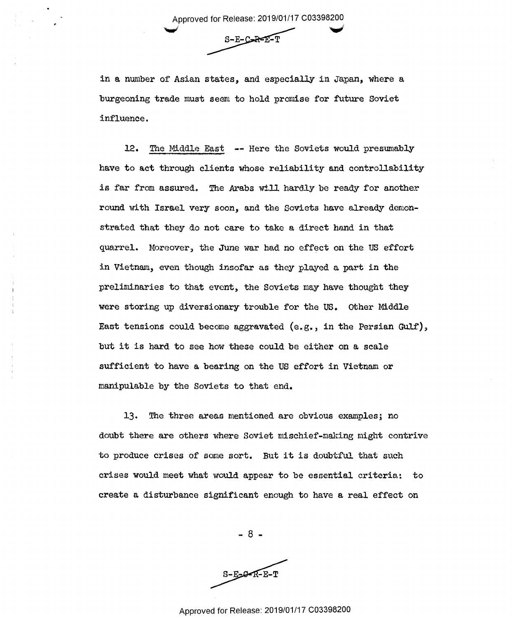Approved for Release: 2019/01/17 C03398200 ~ Approved for Release: 2019/01/17 <sup>003398200</sup> I for Release: 2019/01/17 C03398200<br> $S-E-C=R-E-T$ 

 $S-E-C-R-E-T$ 

in a number of Asian states, and especially in Japan, where a burgeoning trade must seem to hold promise for future Soviet burgeoning trade must seem to hold promise for future Soviet influence. influence.

12. The Middle East -- Here the Soviets would presumably have to act through clients whose reliability and controllability have to act through clients whose reliability and controllability is far from assured. The Arabs will hard.ly be ready for another is far from assured. The Arabs will hardly be ready for another round with Israel very soon, and the Soviets have already demonstrated that they do not care to take a direct hand in that strated that they do not care to take <sup>a</sup> direct hand in that quarrel. Moreover, the June war had no effect on the US effort quarrel. moreover, the JUne war had no effect on the US effort in Vietnam, even though insofar as they played a part in the preliminaries to that event, the Soviets may have thought they were storing up diversionary trouble for the US. Other Middle Eaot tensions could become aggravated (e.g., in the Persian Gulf), East tensions could become aggravated (e.g., in the Persian Gulf), but it is hard to see how these could be either on a scale sufficient to have a bearing on the US effort in Vietnam or sufficient to have <sup>a</sup> bearing on the US effort in Vietnam or manipulable by the Soviets to that end. manipulable by the Soviets to that end.

13. The three areas mentioned are obvious examples; no doubt there are others where Soviet mischief-making might contrive doubt there are others where Soviet mischief-making might contrive to produce crises of some sort. But it is doubtful that such to produce crises of some sort. But it is doubtful that such crises would meet what would appear to be essential criteria: to crises would meet what would appear to be essential criteria: to create a disturbance significant enough to have a real effect on create <sup>a</sup> disturbance significant enough to have <sup>a</sup> real effect on

- 8 - —8--

 $S-E_2-RF-E-T$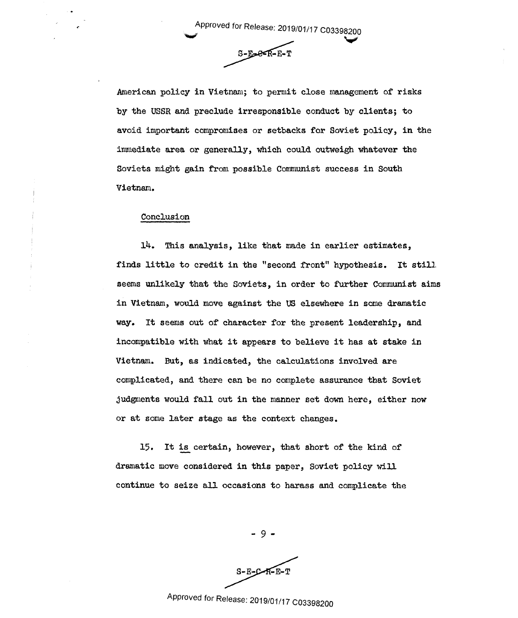Approved for Release: 2019/01/17 C03398200 . Approved for Release: 2019/01/17 <sup>003398200</sup>

ed for Release: 2019/01/17 C03398200<br>S-E-C-R-E-T  $S-F-2-F-F$ 

American policy **in** Vietnam; to permit close management of risks American policy in'Vietnam; to permit close management of risks by the USSR and preclude irresponsible conduct by clients; to by the USSR and preclude irresponsible conduct by clients; to avoid important compromises or setbacks for Soviet policy, **in** the avoid important compromises or setbacks for Soviet policy, in the immediate area or generally, which could outweigh whatever the Soviets might gain from possible Communist success in South Soviets might gain from.possible Communist success in South Vietnam. Vietnam.

## Conclusion Conclusion

~

14. This analysis, like that made in earlier estimates, finds little to credit in the "second front" hypothesis. It still seems unlikely that the Soviets, in order to further Communist aims seems unlikely that the Soviets, in order to further Communist aims in Vietnam, would move against the US elsewhere in some dramatic way. It seems out of character for the present leadership, and way. It seems out of character for the present leadership, and incompatible with what it appears to believe it has at stake in incompatible with what it appears to believe it has at stake in Vietnam. But, as indicated, the calculations involved are complicated, and there can be no complete assurance that Soviet complicated, and there can be no complete assurance that Soviet judgments would fall out in the manner set down here, either now or at some later stage as the context changes. or at some later stage as the context changes.

15. It is certain, however, that short of the kind of dramatic move considered in this paper, Soviet policy will dramatic move considered in this paper, Soviet policy will continue to seize all occasions to harass and complicate the continue to seize alloccasions to harass and complicate the

- 9 -

 $-9$  –<br>S-E-C-R-E-T<br>Approved for Release: 2019/01/17 C03398200